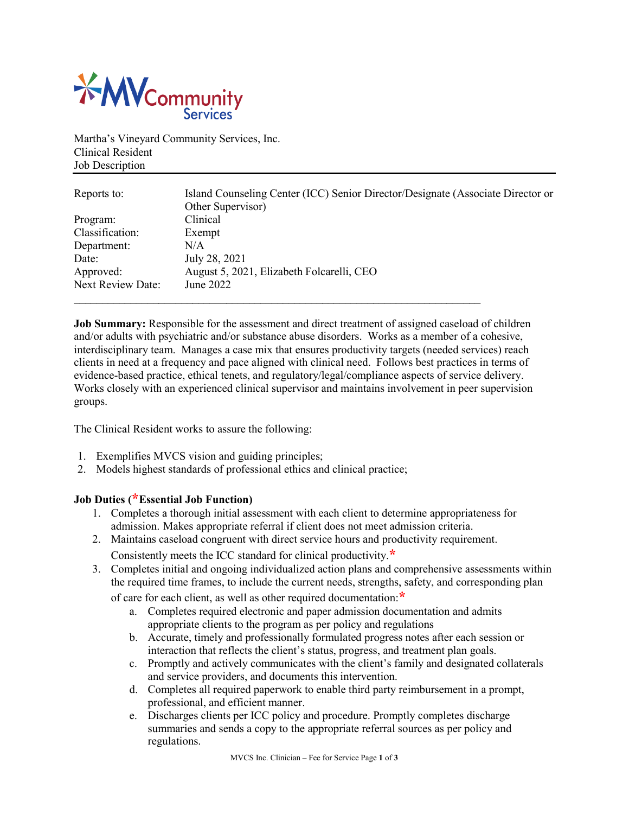

Martha's Vineyard Community Services, Inc. Clinical Resident Job Description

| Reports to:              | Island Counseling Center (ICC) Senior Director/Designate (Associate Director or |
|--------------------------|---------------------------------------------------------------------------------|
|                          | Other Supervisor)                                                               |
| Program:                 | Clinical                                                                        |
| Classification:          | Exempt                                                                          |
| Department:              | N/A                                                                             |
| Date:                    | July 28, 2021                                                                   |
| Approved:                | August 5, 2021, Elizabeth Folcarelli, CEO                                       |
| <b>Next Review Date:</b> | June 2022                                                                       |
|                          |                                                                                 |

**Job Summary:** Responsible for the assessment and direct treatment of assigned caseload of children and/or adults with psychiatric and/or substance abuse disorders. Works as a member of a cohesive, interdisciplinary team. Manages a case mix that ensures productivity targets (needed services) reach clients in need at a frequency and pace aligned with clinical need. Follows best practices in terms of evidence-based practice, ethical tenets, and regulatory/legal/compliance aspects of service delivery. Works closely with an experienced clinical supervisor and maintains involvement in peer supervision groups.

The Clinical Resident works to assure the following:

- 1. Exemplifies MVCS vision and guiding principles;
- 2. Models highest standards of professional ethics and clinical practice;

## **Job Duties (\*Essential Job Function)**

- 1. Completes a thorough initial assessment with each client to determine appropriateness for admission. Makes appropriate referral if client does not meet admission criteria.
- 2. Maintains caseload congruent with direct service hours and productivity requirement.
	- Consistently meets the ICC standard for clinical productivity.**\***
- 3. Completes initial and ongoing individualized action plans and comprehensive assessments within the required time frames, to include the current needs, strengths, safety, and corresponding plan

of care for each client, as well as other required documentation:**\***

- a. Completes required electronic and paper admission documentation and admits appropriate clients to the program as per policy and regulations
- b. Accurate, timely and professionally formulated progress notes after each session or interaction that reflects the client's status, progress, and treatment plan goals.
- c. Promptly and actively communicates with the client's family and designated collaterals and service providers, and documents this intervention.
- d. Completes all required paperwork to enable third party reimbursement in a prompt, professional, and efficient manner.
- e. Discharges clients per ICC policy and procedure. Promptly completes discharge summaries and sends a copy to the appropriate referral sources as per policy and regulations.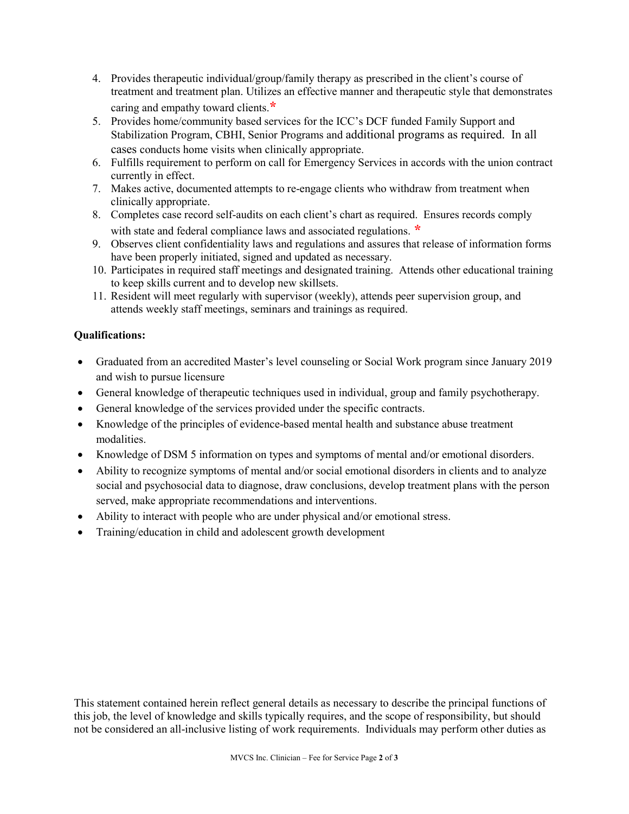- 4. Provides therapeutic individual/group/family therapy as prescribed in the client's course of treatment and treatment plan. Utilizes an effective manner and therapeutic style that demonstrates caring and empathy toward clients.**\***
- 5. Provides home/community based services for the ICC's DCF funded Family Support and Stabilization Program, CBHI, Senior Programs and additional programs as required. In all cases conducts home visits when clinically appropriate.
- 6. Fulfills requirement to perform on call for Emergency Services in accords with the union contract currently in effect.
- 7. Makes active, documented attempts to re-engage clients who withdraw from treatment when clinically appropriate.
- 8. Completes case record self-audits on each client's chart as required. Ensures records comply with state and federal compliance laws and associated regulations. **\***
- 9. Observes client confidentiality laws and regulations and assures that release of information forms have been properly initiated, signed and updated as necessary.
- 10. Participates in required staff meetings and designated training. Attends other educational training to keep skills current and to develop new skillsets.
- 11. Resident will meet regularly with supervisor (weekly), attends peer supervision group, and attends weekly staff meetings, seminars and trainings as required.

## **Qualifications:**

- Graduated from an accredited Master's level counseling or Social Work program since January 2019 and wish to pursue licensure
- General knowledge of therapeutic techniques used in individual, group and family psychotherapy.
- General knowledge of the services provided under the specific contracts.
- Knowledge of the principles of evidence-based mental health and substance abuse treatment modalities.
- Knowledge of DSM 5 information on types and symptoms of mental and/or emotional disorders.
- Ability to recognize symptoms of mental and/or social emotional disorders in clients and to analyze social and psychosocial data to diagnose, draw conclusions, develop treatment plans with the person served, make appropriate recommendations and interventions.
- Ability to interact with people who are under physical and/or emotional stress.
- Training/education in child and adolescent growth development

This statement contained herein reflect general details as necessary to describe the principal functions of this job, the level of knowledge and skills typically requires, and the scope of responsibility, but should not be considered an all-inclusive listing of work requirements. Individuals may perform other duties as